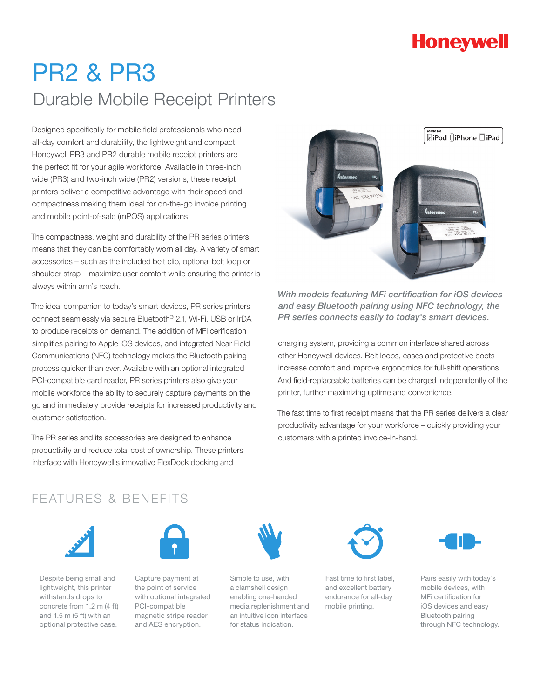## **Honeywell**

# PR2 & PR3 Durable Mobile Receipt Printers

Designed specifically for mobile field professionals who need all-day comfort and durability, the lightweight and compact Honeywell PR3 and PR2 durable mobile receipt printers are the perfect fit for your agile workforce. Available in three-inch wide (PR3) and two-inch wide (PR2) versions, these receipt printers deliver a competitive advantage with their speed and compactness making them ideal for on-the-go invoice printing and mobile point-of-sale (mPOS) applications.

The compactness, weight and durability of the PR series printers means that they can be comfortably worn all day. A variety of smart accessories – such as the included belt clip, optional belt loop or shoulder strap – maximize user comfort while ensuring the printer is always within arm's reach.

The ideal companion to today's smart devices, PR series printers connect seamlessly via secure Bluetooth® 2.1, Wi-Fi, USB or IrDA to produce receipts on demand. The addition of MFi cerification simplifies pairing to Apple iOS devices, and integrated Near Field Communications (NFC) technology makes the Bluetooth pairing process quicker than ever. Available with an optional integrated PCI-compatible card reader, PR series printers also give your mobile workforce the ability to securely capture payments on the go and immediately provide receipts for increased productivity and customer satisfaction.

The PR series and its accessories are designed to enhance productivity and reduce total cost of ownership. These printers interface with Honeywell's innovative FlexDock docking and



*With models featuring MFi certification for iOS devices and easy Bluetooth pairing using NFC technology, the PR series connects easily to today's smart devices.*

charging system, providing a common interface shared across other Honeywell devices. Belt loops, cases and protective boots increase comfort and improve ergonomics for full-shift operations. And field-replaceable batteries can be charged independently of the printer, further maximizing uptime and convenience.

The fast time to first receipt means that the PR series delivers a clear productivity advantage for your workforce – quickly providing your customers with a printed invoice-in-hand.

### FEATURES & BENEFITS



Despite being small and lightweight, this printer withstands drops to concrete from 1.2 m (4 ft) and 1.5 m (5 ft) with an optional protective case.



Capture payment at the point of service with optional integrated PCI-compatible magnetic stripe reader and AES encryption.



Simple to use, with a clamshell design enabling one-handed media replenishment and an intuitive icon interface for status indication.



Fast time to first label, and excellent battery endurance for all-day mobile printing.



Pairs easily with today's mobile devices, with MFi certification for iOS devices and easy Bluetooth pairing through NFC technology.